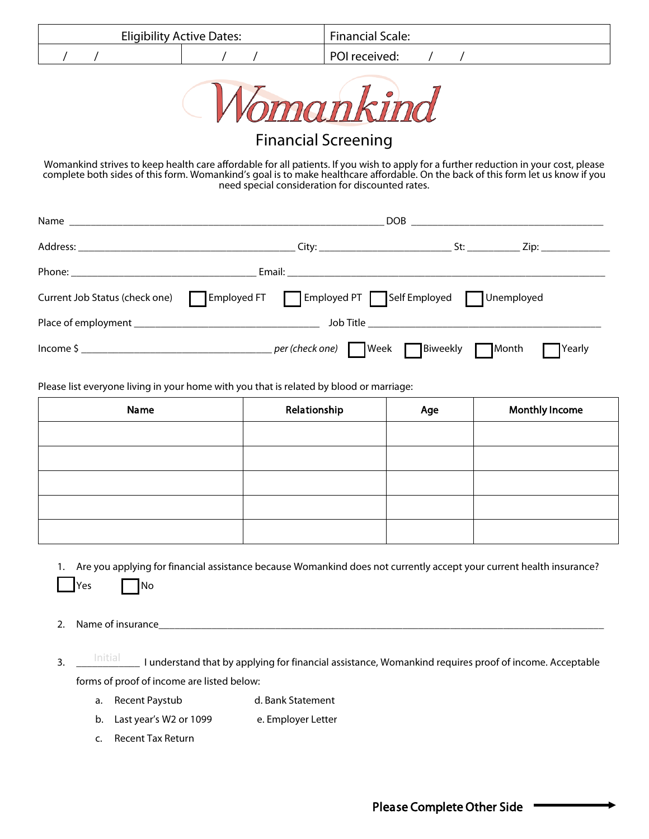| <b>Eligibility Active Dates:</b> |  |  | <b>Financial Scale:</b> |               |  |  |  |
|----------------------------------|--|--|-------------------------|---------------|--|--|--|
|                                  |  |  |                         | POI received: |  |  |  |
|                                  |  |  | $-$                     |               |  |  |  |



## Financial Screening

Womankind strives to keep health care affordable for all patients. If you wish to apply for a further reduction in your cost, please complete both sides of this form. Womankind's goal is to make healthcare affordable. On the back of this form let us know if you need special consideration for discounted rates.

|                                | _St: _____________ Zip: ______________                 |  |  |  |
|--------------------------------|--------------------------------------------------------|--|--|--|
|                                |                                                        |  |  |  |
| Current Job Status (check one) | Employed FT   Employed PT   Self Employed   Unemployed |  |  |  |
|                                |                                                        |  |  |  |
|                                | <b>T</b> Yearly                                        |  |  |  |

Please list everyone living in your home with you that is related by blood or marriage:

| Name | Relationship | Age | <b>Monthly Income</b> |
|------|--------------|-----|-----------------------|
|      |              |     |                       |
|      |              |     |                       |
|      |              |     |                       |
|      |              |     |                       |
|      |              |     |                       |

1. Are you applying for financial assistance because Womankind does not currently accept your current health insurance?

Yes | No

2. Name of insurance

- 3. \_\_\_\_\_<sup>Initial</sup>\_\_\_\_\_\_I understand that by applying for financial assistance, Womankind requires proof of income. Acceptable forms of proof of income are listed below:
	- a. Recent Paystub d. Bank Statement
	- b. Last year's W2 or 1099 e. Employer Letter
	- c. Recent Tax Return